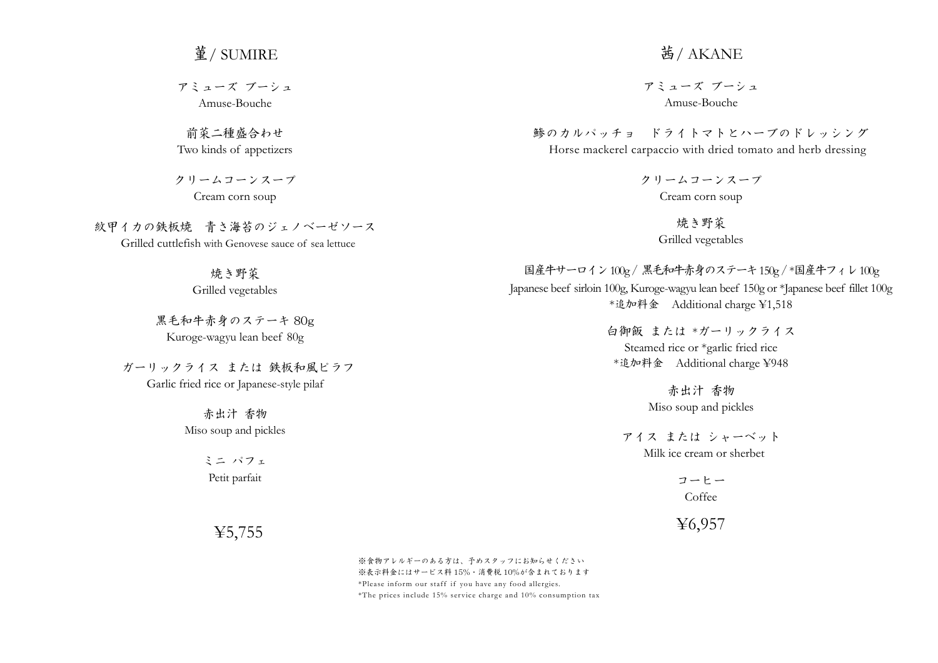## 菫/ SUMIRE

アミューズ ブーシュ Amuse-Bouche

前菜二種盛合わせ Two kinds of appetizers

クリームコーンスープ Cream corn soup

紋甲イカの鉄板焼 青さ海苔のジェノベーゼソース Grilled cuttlefish with Genovese sauce of sea lettuce

焼き野菜

Grilled vegetables

黒毛和牛赤身のステーキ 80g Kuroge-wagyu lean beef 80g

ガーリックライス または 鉄板和風ピラフ Garlic fried rice or Japanese-style pilaf

> 赤出汁 香物 Miso soup and pickles

> > ミニ パフェ Petit parfait

> > > ¥5,755

## 茜/ AKANE

アミューズ ブーシュ Amuse-Bouche

鯵のカルパッチョ ドライトマトとハーブのドレッシング Horse mackerel carpaccio with dried tomato and herb dressing

> クリームコーンスープ Cream corn soup

> > 焼き野菜 Grilled vegetables

国産牛サーロイン100g / 黒毛和牛赤身のステーキ150g / \*国産牛フィレ100g Japanese beef sirloin 100g, Kuroge-wagyu lean beef 150g or \*Japanese beef fillet 100g \*追加料金 Additional charge ¥1,518

> 白御飯 または \*ガーリックライス Steamed rice or \*garlic fried rice \*追加料金 Additional charge ¥948

> > 赤出汁 香物 Miso soup and pickles

アイス または シャーベット Milk ice cream or sherbet

> コーヒー Coffee

¥6,957

※食物アレルギーのある方は、予めスタッフにお知らせください ※表示料金にはサービス料 15%・消費税 10%が含まれております \*Please inform our staff if you have any food allergies. \*The prices include 15% ser vice charge and 10% consumption tax